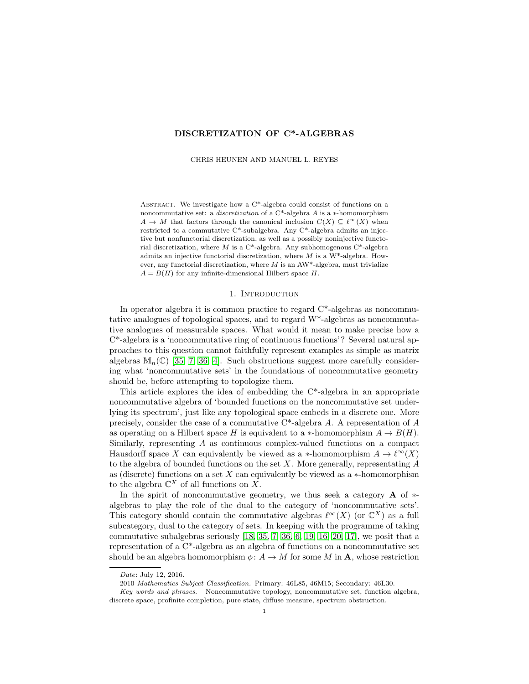# DISCRETIZATION OF C\*-ALGEBRAS

CHRIS HEUNEN AND MANUEL L. REYES

ABSTRACT. We investigate how a  $C^*$ -algebra could consist of functions on a noncommutative set: a *discretization* of a C<sup>\*</sup>-algebra  $A$  is a ∗-homomorphism  $A \to M$  that factors through the canonical inclusion  $C(X) \subseteq \ell^{\infty}(X)$  when restricted to a commutative C\*-subalgebra. Any C\*-algebra admits an injective but nonfunctorial discretization, as well as a possibly noninjective functorial discretization, where  $M$  is a C\*-algebra. Any subhomogenous C\*-algebra admits an injective functorial discretization, where  $M$  is a W<sup>\*</sup>-algebra. However, any functorial discretization, where  $M$  is an AW<sup>\*</sup>-algebra, must trivialize  $A = B(H)$  for any infinite-dimensional Hilbert space H.

#### 1. INTRODUCTION

In operator algebra it is common practice to regard C\*-algebras as noncommutative analogues of topological spaces, and to regard W\*-algebras as noncommutative analogues of measurable spaces. What would it mean to make precise how a C\*-algebra is a 'noncommutative ring of continuous functions'? Several natural approaches to this question cannot faithfully represent examples as simple as matrix algebras  $\mathbb{M}_n(\mathbb{C})$  [\[35,](#page-15-0) [7,](#page-14-0) [36,](#page-15-1) [4\]](#page-14-1). Such obstructions suggest more carefully considering what 'noncommutative sets' in the foundations of noncommutative geometry should be, before attempting to topologize them.

This article explores the idea of embedding the C\*-algebra in an appropriate noncommutative algebra of 'bounded functions on the noncommutative set underlying its spectrum', just like any topological space embeds in a discrete one. More precisely, consider the case of a commutative  $C^*$ -algebra A. A representation of A as operating on a Hilbert space H is equivalent to a  $*$ -homomorphism  $A \to B(H)$ . Similarly, representing A as continuous complex-valued functions on a compact Hausdorff space X can equivalently be viewed as a ∗-homomorphism  $A \to \ell^{\infty}(X)$ to the algebra of bounded functions on the set  $X$ . More generally, representating  $A$ as (discrete) functions on a set  $X$  can equivalently be viewed as a  $*$ -homomorphism to the algebra  $\mathbb{C}^X$  of all functions on X.

In the spirit of noncommutative geometry, we thus seek a category  $\bf{A}$  of  $*$ algebras to play the role of the dual to the category of 'noncommutative sets'. This category should contain the commutative algebras  $\ell^{\infty}(X)$  (or  $\mathbb{C}^{X}$ ) as a full subcategory, dual to the category of sets. In keeping with the programme of taking commutative subalgebras seriously [\[18,](#page-14-2) [35,](#page-15-0) [7,](#page-14-0) [36,](#page-15-1) [6,](#page-14-3) [19,](#page-14-4) [16,](#page-14-5) [20,](#page-14-6) [17\]](#page-14-7), we posit that a representation of a C\*-algebra as an algebra of functions on a noncommutative set should be an algebra homomorphism  $\phi: A \to M$  for some M in **A**, whose restriction

Date: July 12, 2016.

<sup>2010</sup> Mathematics Subject Classification. Primary: 46L85, 46M15; Secondary: 46L30.

Key words and phrases. Noncommutative topology, noncommutative set, function algebra, discrete space, profinite completion, pure state, diffuse measure, spectrum obstruction.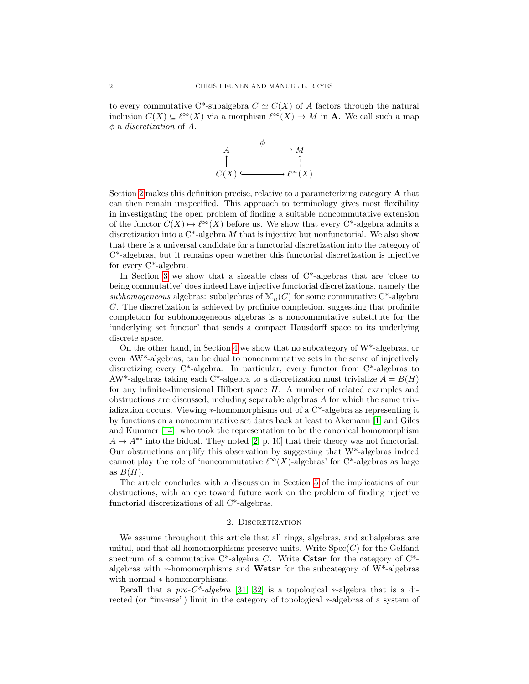to every commutative C\*-subalgebra  $C \simeq C(X)$  of A factors through the natural inclusion  $C(X) \subseteq \ell^{\infty}(X)$  via a morphism  $\ell^{\infty}(X) \to M$  in **A**. We call such a map  $\phi$  a *discretization* of A.



Section [2](#page-1-0) makes this definition precise, relative to a parameterizing category A that can then remain unspecified. This approach to terminology gives most flexibility in investigating the open problem of finding a suitable noncommutative extension of the functor  $C(X) \mapsto \ell^{\infty}(X)$  before us. We show that every C<sup>\*</sup>-algebra admits a discretization into a  $C^*$ -algebra M that is injective but nonfunctorial. We also show that there is a universal candidate for a functorial discretization into the category of C\*-algebras, but it remains open whether this functorial discretization is injective for every C\*-algebra.

In Section [3](#page-5-0) we show that a sizeable class of C\*-algebras that are 'close to being commutative' does indeed have injective functorial discretizations, namely the subhomogeneous algebras: subalgebras of  $\mathbb{M}_{n}(C)$  for some commutative C<sup>\*</sup>-algebra C. The discretization is achieved by profinite completion, suggesting that profinite completion for subhomogeneous algebras is a noncommutative substitute for the 'underlying set functor' that sends a compact Hausdorff space to its underlying discrete space.

On the other hand, in Section [4](#page-8-0) we show that no subcategory of  $W^*$ -algebras, or even AW\*-algebras, can be dual to noncommutative sets in the sense of injectively discretizing every  $C^*$ -algebra. In particular, every functor from  $C^*$ -algebras to AW<sup>\*</sup>-algebras taking each C<sup>\*</sup>-algebra to a discretization must trivialize  $A = B(H)$ for any infinite-dimensional Hilbert space H. A number of related examples and obstructions are discussed, including separable algebras A for which the same trivialization occurs. Viewing ∗-homomorphisms out of a C\*-algebra as representing it by functions on a noncommutative set dates back at least to Akemann [\[1\]](#page-14-8) and Giles and Kummer [\[14\]](#page-14-9), who took the representation to be the canonical homomorphism  $A \rightarrow A^{**}$  into the bidual. They noted [\[2,](#page-14-10) p. 10] that their theory was not functorial. Our obstructions amplify this observation by suggesting that W\*-algebras indeed cannot play the role of 'noncommutative  $\ell^{\infty}(X)$ -algebras' for C\*-algebras as large as  $B(H)$ .

The article concludes with a discussion in Section [5](#page-13-0) of the implications of our obstructions, with an eye toward future work on the problem of finding injective functorial discretizations of all C\*-algebras.

# 2. DISCRETIZATION

<span id="page-1-0"></span>We assume throughout this article that all rings, algebras, and subalgebras are unital, and that all homomorphisms preserve units. Write  $Spec(C)$  for the Gelfand spectrum of a commutative  $C^*$ -algebra C. Write **Cstar** for the category of  $C^*$ algebras with ∗-homomorphisms and Wstar for the subcategory of W\*-algebras with normal ∗-homomorphisms.

Recall that a pro- $C^*$ -algebra [\[31,](#page-15-2) [32\]](#page-15-3) is a topological ∗-algebra that is a directed (or "inverse") limit in the category of topological ∗-algebras of a system of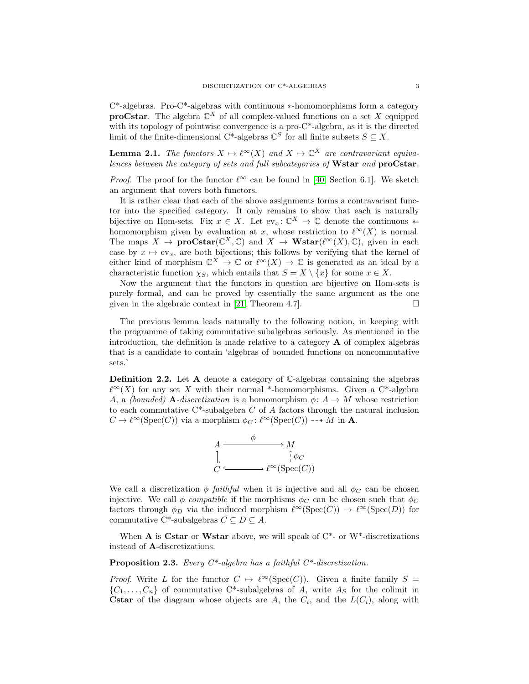C\*-algebras. Pro-C\*-algebras with continuous ∗-homomorphisms form a category **proCstar**. The algebra  $\mathbb{C}^{X}$  of all complex-valued functions on a set X equipped with its topology of pointwise convergence is a pro-C<sup>\*</sup>-algebra, as it is the directed limit of the finite-dimensional C<sup>\*</sup>-algebras  $\mathbb{C}^S$  for all finite subsets  $S \subseteq X$ .

<span id="page-2-2"></span>**Lemma 2.1.** The functors  $X \mapsto \ell^{\infty}(X)$  and  $X \mapsto \mathbb{C}^{X}$  are contravariant equivalences between the category of sets and full subcategories of Wstar and proCstar.

*Proof.* The proof for the functor  $\ell^{\infty}$  can be found in [\[40,](#page-15-4) Section 6.1]. We sketch an argument that covers both functors.

It is rather clear that each of the above assignments forms a contravariant functor into the specified category. It only remains to show that each is naturally bijective on Hom-sets. Fix  $x \in X$ . Let  $ev_x: \mathbb{C}^X \to \mathbb{C}$  denote the continuous \*homomorphism given by evaluation at x, whose restriction to  $\ell^{\infty}(X)$  is normal. The maps  $X \to \text{prox}(\mathbb{C}^X, \mathbb{C})$  and  $X \to \text{Wstar}(\ell^{\infty}(X), \mathbb{C})$ , given in each case by  $x \mapsto \text{ev}_x$ , are both bijections; this follows by verifying that the kernel of either kind of morphism  $\mathbb{C}^X \to \mathbb{C}$  or  $\ell^{\infty}(X) \to \mathbb{C}$  is generated as an ideal by a characteristic function  $\chi_S$ , which entails that  $S = X \setminus \{x\}$  for some  $x \in X$ .

Now the argument that the functors in question are bijective on Hom-sets is purely formal, and can be proved by essentially the same argument as the one given in the algebraic context in [\[21,](#page-14-11) Theorem 4.7].

The previous lemma leads naturally to the following notion, in keeping with the programme of taking commutative subalgebras seriously. As mentioned in the introduction, the definition is made relative to a category  $\bf{A}$  of complex algebras that is a candidate to contain 'algebras of bounded functions on noncommutative sets.'

<span id="page-2-0"></span>**Definition 2.2.** Let  $A$  denote a category of  $C$ -algebras containing the algebras  $\ell^{\infty}(X)$  for any set X with their normal \*-homomorphisms. Given a C\*-algebra A, a (bounded) **A**-discretization is a homomorphism  $\phi: A \rightarrow M$  whose restriction to each commutative  $C^*$ -subalgebra C of A factors through the natural inclusion  $C \to \ell^{\infty}(\mathrm{Spec}(C))$  via a morphism  $\phi_C : \ell^{\infty}(\mathrm{Spec}(C)) \dashrightarrow M$  in A.



We call a discretization  $\phi$  faithful when it is injective and all  $\phi_C$  can be chosen injective. We call  $\phi$  compatible if the morphisms  $\phi_C$  can be chosen such that  $\phi_C$ factors through  $\phi_D$  via the induced morphism  $\ell^{\infty}(\text{Spec}(C)) \to \ell^{\infty}(\text{Spec}(D))$  for commutative C<sup>\*</sup>-subalgebras  $C \subseteq D \subseteq A$ .

When A is Cstar or Wstar above, we will speak of  $C^*$ - or W<sup>\*</sup>-discretizations instead of A-discretizations.

<span id="page-2-1"></span>**Proposition 2.3.** Every  $C^*$ -algebra has a faithful  $C^*$ -discretization.

*Proof.* Write L for the functor  $C \rightarrow \ell^{\infty}(\text{Spec}(C))$ . Given a finite family S =  ${C_1, \ldots, C_n}$  of commutative C\*-subalgebras of A, write  $A_S$  for the colimit in **Cstar** of the diagram whose objects are A, the  $C_i$ , and the  $L(C_i)$ , along with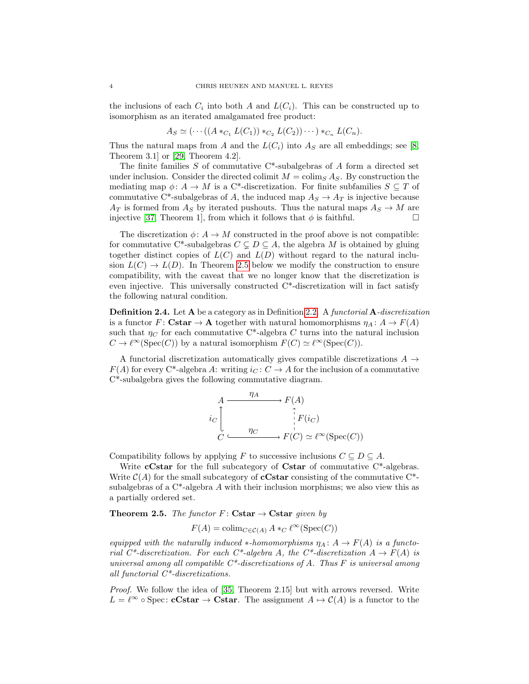the inclusions of each  $C_i$  into both A and  $L(C_i)$ . This can be constructed up to isomorphism as an iterated amalgamated free product:

$$
A_S \simeq (\cdots ((A *_{C_1} L(C_1)) *_{C_2} L(C_2)) \cdots ) *_{C_n} L(C_n).
$$

Thus the natural maps from A and the  $L(C_i)$  into  $A<sub>S</sub>$  are all embeddings; see [\[8,](#page-14-12) Theorem 3.1] or [\[29,](#page-15-5) Theorem 4.2].

The finite families S of commutative  $C^*$ -subalgebras of A form a directed set under inclusion. Consider the directed colimit  $M = \text{colim}_{S} A_{S}$ . By construction the mediating map  $\phi: A \to M$  is a C<sup>\*</sup>-discretization. For finite subfamilies  $S \subseteq T$  of commutative C\*-subalgebras of A, the induced map  $A_S \to A_T$  is injective because  $A_T$  is formed from  $A_S$  by iterated pushouts. Thus the natural maps  $A_S \to M$  are injective [\[37,](#page-15-6) Theorem 1], from which it follows that  $\phi$  is faithful.

The discretization  $\phi: A \to M$  constructed in the proof above is not compatible: for commutative C<sup>\*</sup>-subalgebras  $C \subseteq D \subseteq A$ , the algebra M is obtained by gluing together distinct copies of  $L(C)$  and  $L(D)$  without regard to the natural inclusion  $L(C) \to L(D)$ . In Theorem [2.5](#page-3-0) below we modify the construction to ensure compatibility, with the caveat that we no longer know that the discretization is even injective. This universally constructed C\*-discretization will in fact satisfy the following natural condition.

**Definition 2.4.** Let A be a category as in Definition [2.2.](#page-2-0) A functorial A-discretization is a functor F: Cstar  $\rightarrow$  A together with natural homomorphisms  $\eta_A : A \rightarrow F(A)$ such that  $\eta_C$  for each commutative C\*-algebra C turns into the natural inclusion  $C \to \ell^{\infty}(\text{Spec}(C))$  by a natural isomorphism  $F(C) \simeq \ell^{\infty}(\text{Spec}(C)).$ 

A functorial discretization automatically gives compatible discretizations  $A \rightarrow$  $F(A)$  for every C<sup>\*</sup>-algebra A: writing  $i_C: C \to A$  for the inclusion of a commutative C\*-subalgebra gives the following commutative diagram.

$$
A \xrightarrow{\eta_A} F(A)
$$
  
\n
$$
i_C \downarrow \qquad \qquad \uparrow F(i_C)
$$
  
\n
$$
C \xrightarrow{\eta_C} F(C) \simeq \ell^{\infty}(\text{Spec}(C))
$$

Compatibility follows by applying F to successive inclusions  $C \subseteq D \subseteq A$ .

Write **cCstar** for the full subcategory of **Cstar** of commutative  $C^*$ -algebras. Write  $\mathcal{C}(A)$  for the small subcategory of **cCstar** consisting of the commutative C<sup>\*</sup>subalgebras of a  $C^*$ -algebra A with their inclusion morphisms; we also view this as a partially ordered set.

## <span id="page-3-0"></span>**Theorem 2.5.** The functor  $F:$  Cstar  $\rightarrow$  Cstar given by

$$
F(A) = \operatorname{colim}_{C \in \mathcal{C}(A)} A *_{C} \ell^{\infty}(\operatorname{Spec}(C))
$$

equipped with the naturally induced ∗-homomorphisms  $\eta_A : A \to F(A)$  is a functorial C\*-discretization. For each C\*-algebra A, the C\*-discretization  $A \to F(A)$  is universal among all compatible  $C^*$ -discretizations of A. Thus F is universal among all functorial C\*-discretizations.

*Proof.* We follow the idea of [\[35,](#page-15-0) Theorem 2.15] but with arrows reversed. Write  $L = \ell^{\infty} \circ \text{Spec} : \text{cCstar} \to \text{Cstar}.$  The assignment  $A \mapsto C(A)$  is a functor to the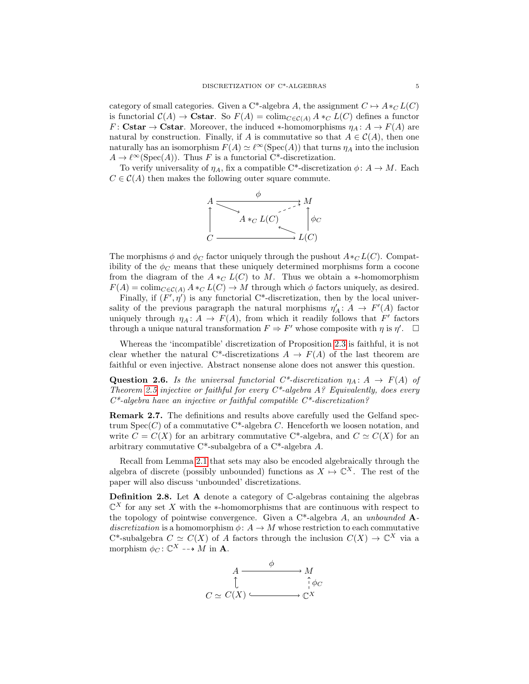category of small categories. Given a C\*-algebra A, the assignment  $C \mapsto A *_{C} L(C)$ is functorial  $C(A) \to \mathbf{Cstar}$ . So  $F(A) = \text{colim}_{C \in \mathcal{C}(A)} A *_{C} L(C)$  defines a functor  $F: \mathbf{Cstar} \to \mathbf{Cstar}.$  Moreover, the induced \*-homomorphisms  $\eta_A: A \to F(A)$  are natural by construction. Finally, if A is commutative so that  $A \in C(A)$ , then one naturally has an isomorphism  $F(A) \simeq \ell^{\infty}(\text{Spec}(A))$  that turns  $\eta_A$  into the inclusion  $A \to \ell^{\infty}(\text{Spec}(A)).$  Thus F is a functorial C\*-discretization.

To verify universality of  $\eta_A$ , fix a compatible C\*-discretization  $\phi: A \to M$ . Each  $C \in \mathcal{C}(A)$  then makes the following outer square commute.



The morphisms  $\phi$  and  $\phi_C$  factor uniquely through the pushout  $A*_C L(C)$ . Compatibility of the  $\phi_C$  means that these uniquely determined morphisms form a cocone from the diagram of the  $A *_{C} L(C)$  to M. Thus we obtain a \*-homomorphism  $F(A) = \text{colim}_{C \in \mathcal{C}(A)} A *_{C} L(C) \rightarrow M$  through which  $\phi$  factors uniquely, as desired.

Finally, if  $(F', \eta')$  is any functorial C<sup>\*</sup>-discretization, then by the local universality of the previous paragraph the natural morphisms  $\eta'_A: A \to F'(A)$  factor uniquely through  $\eta_A: A \to F(A)$ , from which it readily follows that F' factors through a unique natural transformation  $F \Rightarrow F'$  whose composite with  $\eta$  is  $\eta'$ .  $\Box$ 

Whereas the 'incompatible' discretization of Proposition [2.3](#page-2-1) is faithful, it is not clear whether the natural C\*-discretizations  $A \to F(A)$  of the last theorem are faithful or even injective. Abstract nonsense alone does not answer this question.

<span id="page-4-0"></span>Question 2.6. Is the universal functorial  $C^*$ -discretization  $\eta_A: A \to F(A)$  of Theorem [2.5](#page-3-0) injective or faithful for every  $C^*$ -algebra A? Equivalently, does every  $C^*$ -algebra have an injective or faithful compatible  $C^*$ -discretization?

Remark 2.7. The definitions and results above carefully used the Gelfand spectrum  $Spec(C)$  of a commutative C<sup>\*</sup>-algebra C. Henceforth we loosen notation, and write  $C = C(X)$  for an arbitrary commutative C<sup>\*</sup>-algebra, and  $C \simeq C(X)$  for an arbitrary commutative C\*-subalgebra of a C\*-algebra A.

Recall from Lemma [2.1](#page-2-2) that sets may also be encoded algebraically through the algebra of discrete (possibly unbounded) functions as  $X \mapsto \mathbb{C}^X$ . The rest of the paper will also discuss 'unbounded' discretizations.

Definition 2.8. Let A denote a category of C-algebras containing the algebras  $\mathbb{C}^X$  for any set X with the ∗-homomorphisms that are continuous with respect to the topology of pointwise convergence. Given a  $C^*$ -algebra A, an unbounded  $A$ discretization is a homomorphism  $\phi: A \to M$  whose restriction to each commutative C<sup>\*</sup>-subalgebra  $C \simeq C(X)$  of A factors through the inclusion  $C(X) \to \mathbb{C}^X$  via a morphism  $\phi_C \colon \mathbb{C}^X \dashrightarrow M$  in **A**.

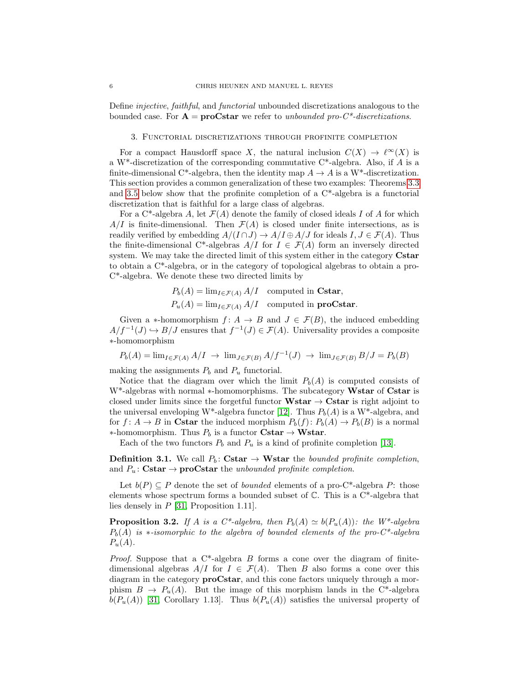Define injective, faithful, and functorial unbounded discretizations analogous to the bounded case. For  $A = \text{prox}$  can we refer to unbounded pro-C<sup>\*</sup>-discretizations.

## 3. Functorial discretizations through profinite completion

<span id="page-5-0"></span>For a compact Hausdorff space X, the natural inclusion  $C(X) \to \ell^{\infty}(X)$  is a W<sup>\*</sup>-discretization of the corresponding commutative  $C^*$ -algebra. Also, if A is a finite-dimensional C<sup>\*</sup>-algebra, then the identity map  $A \to A$  is a W<sup>\*</sup>-discretization. This section provides a common generalization of these two examples: Theorems [3.3](#page-6-0) and [3.5](#page-7-0) below show that the profinite completion of a  $C^*$ -algebra is a functorial discretization that is faithful for a large class of algebras.

For a C<sup>\*</sup>-algebra A, let  $\mathcal{F}(A)$  denote the family of closed ideals I of A for which  $A/I$  is finite-dimensional. Then  $\mathcal{F}(A)$  is closed under finite intersections, as is readily verified by embedding  $A/(I \cap J) \to A/I \oplus A/J$  for ideals  $I, J \in \mathcal{F}(A)$ . Thus the finite-dimensional C\*-algebras  $A/I$  for  $I \in \mathcal{F}(A)$  form an inversely directed system. We may take the directed limit of this system either in the category Cstar to obtain a C\*-algebra, or in the category of topological algebras to obtain a pro-C\*-algebra. We denote these two directed limits by

$$
P_b(A) = \lim_{I \in \mathcal{F}(A)} A/I
$$
 computed in Cstar,  

$$
P_u(A) = \lim_{I \in \mathcal{F}(A)} A/I
$$
 computed in **proCstar**.

Given a \*-homomorphism  $f: A \to B$  and  $J \in \mathcal{F}(B)$ , the induced embedding  $A/f^{-1}(J) \hookrightarrow B/J$  ensures that  $f^{-1}(J) \in \mathcal{F}(A)$ . Universality provides a composite ∗-homomorphism

$$
P_b(A) = \lim_{I \in \mathcal{F}(A)} A/I \rightarrow \lim_{J \in \mathcal{F}(B)} A/f^{-1}(J) \rightarrow \lim_{J \in \mathcal{F}(B)} B/J = P_b(B)
$$

making the assignments  $P_b$  and  $P_u$  functorial.

Notice that the diagram over which the limit  $P_b(A)$  is computed consists of W<sup>\*</sup>-algebras with normal \*-homomorphisms. The subcategory Wstar of Cstar is closed under limits since the forgetful functor  $Wstar \rightarrow Cstar$  is right adjoint to the universal enveloping W<sup>\*</sup>-algebra functor [\[12\]](#page-14-13). Thus  $P_b(A)$  is a W<sup>\*</sup>-algebra, and for  $f: A \to B$  in Cstar the induced morphism  $P_b(f): P_b(A) \to P_b(B)$  is a normal ∗-homomorphism. Thus  $P_b$  is a functor Cstar → Wstar.

Each of the two functors  $P_b$  and  $P_u$  is a kind of profinite completion [\[13\]](#page-14-14).

**Definition 3.1.** We call  $P_b$ : Cstar  $\rightarrow$  Wstar the bounded profinite completion, and  $P_u: \mathbf{Cstar} \to \mathbf{proCstar}$  the unbounded profinite completion.

Let  $b(P) \subseteq P$  denote the set of *bounded* elements of a pro-C<sup>\*</sup>-algebra P: those elements whose spectrum forms a bounded subset of  $\mathbb{C}$ . This is a  $C^*$ -algebra that lies densely in P [\[31,](#page-15-2) Proposition 1.11].

**Proposition 3.2.** If A is a C\*-algebra, then  $P_b(A) \simeq b(P_u(A))$ : the W\*-algebra  $P_b(A)$  is  $\ast$ -isomorphic to the algebra of bounded elements of the pro-C<sup>\*</sup>-algebra  $P_u(A)$ .

*Proof.* Suppose that a  $C^*$ -algebra B forms a cone over the diagram of finitedimensional algebras  $A/I$  for  $I \in \mathcal{F}(A)$ . Then B also forms a cone over this diagram in the category **proCstar**, and this cone factors uniquely through a morphism  $B \to P_u(A)$ . But the image of this morphism lands in the C<sup>\*</sup>-algebra  $b(P_u(A))$  [\[31,](#page-15-2) Corollary 1.13]. Thus  $b(P_u(A))$  satisfies the universal property of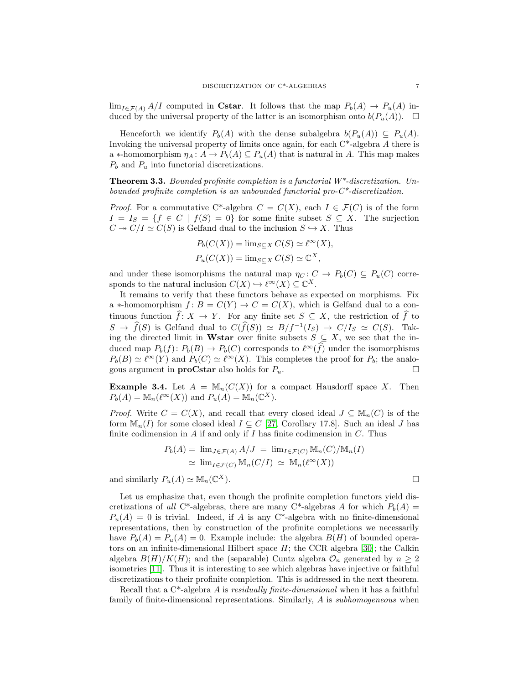$\lim_{I \in \mathcal{F}(A)} A/I$  computed in Cstar. It follows that the map  $P_b(A) \to P_u(A)$  induced by the universal property of the latter is an isomorphism onto  $b(P_u(A))$ .  $\Box$ 

Henceforth we identify  $P_b(A)$  with the dense subalgebra  $b(P_u(A)) \subseteq P_u(A)$ . Invoking the universal property of limits once again, for each C\*-algebra A there is a ∗-homomorphism  $\eta_A: A \to P_b(A) \subseteq P_u(A)$  that is natural in A. This map makes  $P_b$  and  $P_u$  into functorial discretizations.

<span id="page-6-0"></span>**Theorem 3.3.** Bounded profinite completion is a functorial  $W^*$ -discretization. Unbounded profinite completion is an unbounded functorial pro- $C^*$ -discretization.

*Proof.* For a commutative C\*-algebra  $C = C(X)$ , each  $I \in \mathcal{F}(C)$  is of the form  $I = I_S = \{f \in C \mid f(S) = 0\}$  for some finite subset  $S \subseteq X$ . The surjection  $C \twoheadrightarrow C/I \simeq C(S)$  is Gelfand dual to the inclusion  $S \hookrightarrow X$ . Thus

$$
P_b(C(X)) = \lim_{S \subseteq X} C(S) \simeq \ell^{\infty}(X),
$$
  

$$
P_u(C(X)) = \lim_{S \subseteq X} C(S) \simeq \mathbb{C}^X,
$$

and under these isomorphisms the natural map  $\eta_C : C \to P_b(C) \subseteq P_u(C)$  corresponds to the natural inclusion  $C(X) \hookrightarrow \ell^{\infty}(X) \subseteq \mathbb{C}^{X}$ .

It remains to verify that these functors behave as expected on morphisms. Fix a \*-homomorphism  $f: B = C(Y) \to C = C(X)$ , which is Gelfand dual to a continuous function  $\widehat{f}: X \to Y$ . For any finite set  $S \subseteq X$ , the restriction of  $\widehat{f}$  to  $S \to \widehat{f}(S)$  is Gelfand dual to  $C(\widehat{f}(S)) \simeq B/f^{-1}(I_S) \to C/I_S \simeq C(S)$ . Taking the directed limit in Wstar over finite subsets  $S \subseteq X$ , we see that the induced map  $P_b(f)$ :  $P_b(B) \to P_b(C)$  corresponds to  $\ell^{\infty}(\widehat{f})$  under the isomorphisms  $P_b(B) \simeq \ell^{\infty}(Y)$  and  $P_b(C) \simeq \ell^{\infty}(X)$ . This completes the proof for  $P_b$ ; the analogous argument in **proCstar** also holds for  $P_u$ .

**Example 3.4.** Let  $A = \mathbb{M}_n(C(X))$  for a compact Hausdorff space X. Then  $P_b(A) = \mathbb{M}_n(\ell^{\infty}(X))$  and  $P_u(A) = \mathbb{M}_n(\mathbb{C}^X)$ .

*Proof.* Write  $C = C(X)$ , and recall that every closed ideal  $J \subseteq M_n(C)$  is of the form  $\mathbb{M}_n(I)$  for some closed ideal  $I \subseteq C$  [\[27,](#page-14-15) Corollary 17.8]. Such an ideal J has finite codimension in  $A$  if and only if  $I$  has finite codimension in  $C$ . Thus

$$
P_b(A) = \lim_{J \in \mathcal{F}(A)} A/J = \lim_{I \in \mathcal{F}(C)} \mathbb{M}_n(C)/\mathbb{M}_n(I)
$$
  
\n
$$
\simeq \lim_{I \in \mathcal{F}(C)} \mathbb{M}_n(C/I) \simeq \mathbb{M}_n(\ell^{\infty}(X))
$$

and similarly  $P_u(A) \simeq \mathbb{M}_n(\mathbb{C}^X)$ .  $X$ ).

Let us emphasize that, even though the profinite completion functors yield discretizations of all C<sup>\*</sup>-algebras, there are many C<sup>\*</sup>-algebras A for which  $P_b(A)$  =  $P_u(A) = 0$  is trivial. Indeed, if A is any C<sup>\*</sup>-algebra with no finite-dimensional representations, then by construction of the profinite completions we necessarily have  $P_b(A) = P_u(A) = 0$ . Example include: the algebra  $B(H)$  of bounded operators on an infinite-dimensional Hilbert space  $H$ ; the CCR algebra [\[30\]](#page-15-7); the Calkin algebra  $B(H)/K(H)$ ; and the (separable) Cuntz algebra  $\mathcal{O}_n$  generated by  $n \geq 2$ isometries [\[11\]](#page-14-16). Thus it is interesting to see which algebras have injective or faithful discretizations to their profinite completion. This is addressed in the next theorem.

Recall that a C<sup>\*</sup>-algebra A is residually finite-dimensional when it has a faithful family of finite-dimensional representations. Similarly, A is *subhomogeneous* when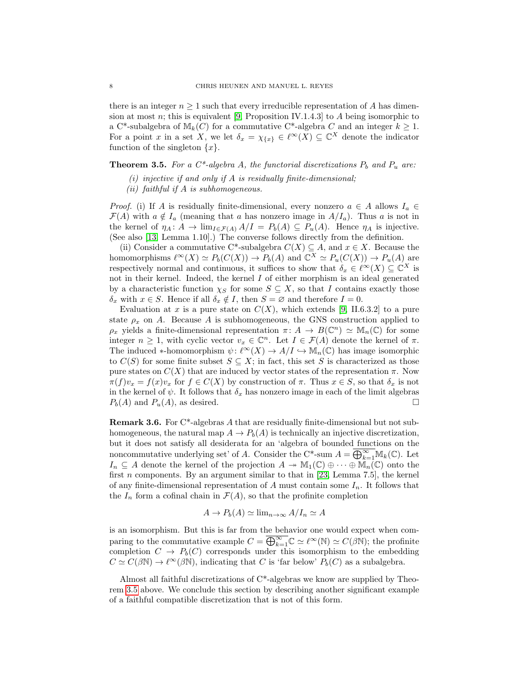there is an integer  $n \geq 1$  such that every irreducible representation of A has dimen-sion at most n; this is equivalent [\[9,](#page-14-17) Proposition IV.1.4.3] to A being isomorphic to a C\*-subalgebra of  $M_k(C)$  for a commutative C\*-algebra C and an integer  $k \geq 1$ . For a point x in a set X, we let  $\delta_x = \chi_{\{x\}} \in \ell^{\infty}(X) \subseteq \mathbb{C}^X$  denote the indicator function of the singleton  $\{x\}.$ 

# <span id="page-7-0"></span>**Theorem 3.5.** For a  $C^*$ -algebra A, the functorial discretizations  $P_b$  and  $P_u$  are:

- (i) injective if and only if  $A$  is residually finite-dimensional;
- $(ii)$  faithful if A is subhomogeneous.

*Proof.* (i) If A is residually finite-dimensional, every nonzero  $a \in A$  allows  $I_a \in$  $\mathcal{F}(A)$  with  $a \notin I_a$  (meaning that a has nonzero image in  $A/I_a$ ). Thus a is not in the kernel of  $\eta_A \colon A \to \lim_{I \in \mathcal{F}(A)} A/I = P_b(A) \subseteq P_u(A)$ . Hence  $\eta_A$  is injective. (See also [\[13,](#page-14-14) Lemma 1.10].) The converse follows directly from the definition.

(ii) Consider a commutative C<sup>\*</sup>-subalgebra  $C(X) \subseteq A$ , and  $x \in X$ . Because the homomorphisms  $\ell^{\infty}(X) \simeq P_b(C(X)) \to P_b(A)$  and  $\mathbb{C}^X \simeq P_u(C(X)) \to P_u(A)$  are respectively normal and continuous, it suffices to show that  $\delta_x \in \ell^{\infty}(X) \subseteq \mathbb{C}^X$  is not in their kernel. Indeed, the kernel I of either morphism is an ideal generated by a characteristic function  $\chi_S$  for some  $S \subseteq X$ , so that I contains exactly those  $\delta_x$  with  $x \in S$ . Hence if all  $\delta_x \notin I$ , then  $S = \emptyset$  and therefore  $I = 0$ .

Evaluation at x is a pure state on  $C(X)$ , which extends [\[9,](#page-14-17) II.6.3.2] to a pure state  $\rho_x$  on A. Because A is subhomogeneous, the GNS construction applied to  $\rho_x$  yields a finite-dimensional representation  $\pi: A \to B(\mathbb{C}^n) \simeq \mathbb{M}_n(\mathbb{C})$  for some integer  $n \geq 1$ , with cyclic vector  $v_x \in \mathbb{C}^n$ . Let  $I \in \mathcal{F}(A)$  denote the kernel of  $\pi$ . The induced  $\ast$ -homomorphism  $\psi: \ell^{\infty}(X) \to A/I \hookrightarrow \mathbb{M}_n(\mathbb{C})$  has image isomorphic to  $C(S)$  for some finite subset  $S \subseteq X$ ; in fact, this set S is characterized as those pure states on  $C(X)$  that are induced by vector states of the representation  $\pi$ . Now  $\pi(f)v_x = f(x)v_x$  for  $f \in C(X)$  by construction of  $\pi$ . Thus  $x \in S$ , so that  $\delta_x$  is not in the kernel of  $\psi$ . It follows that  $\delta_x$  has nonzero image in each of the limit algebras  $P_b(A)$  and  $P_u(A)$ , as desired.

Remark 3.6. For C\*-algebras A that are residually finite-dimensional but not subhomogeneous, the natural map  $A \to P_b(A)$  is technically an injective discretization, but it does not satisfy all desiderata for an 'algebra of bounded functions on the noncommutative underlying set' of A. Consider the C\*-sum  $A = \overline{\bigoplus_{k=1}^{\infty}} \mathbb{M}_k(\mathbb{C})$ . Let  $I_n \subseteq A$  denote the kernel of the projection  $A \to \mathbb{M}_1(\mathbb{C}) \oplus \cdots \oplus \mathbb{M}_n(\mathbb{C})$  onto the first  $n$  components. By an argument similar to that in [\[23,](#page-14-18) Lemma 7.5], the kernel of any finite-dimensional representation of A must contain some  $I_n$ . It follows that the  $I_n$  form a cofinal chain in  $\mathcal{F}(A)$ , so that the profinite completion

$$
A \to P_b(A) \simeq \lim_{n \to \infty} A/I_n \simeq A
$$

is an isomorphism. But this is far from the behavior one would expect when comparing to the commutative example  $C = \overline{\bigoplus_{k=1}^{\infty}} \mathbb{C} \simeq \ell^{\infty}(\mathbb{N}) \simeq C(\beta \mathbb{N});$  the profinite completion  $C \rightarrow P_b(C)$  corresponds under this isomorphism to the embedding  $C \simeq C(\beta \mathbb{N}) \to \ell^{\infty}(\beta \mathbb{N})$ , indicating that C is 'far below'  $P_b(C)$  as a subalgebra.

Almost all faithful discretizations of C\*-algebras we know are supplied by Theorem [3.5](#page-7-0) above. We conclude this section by describing another significant example of a faithful compatible discretization that is not of this form.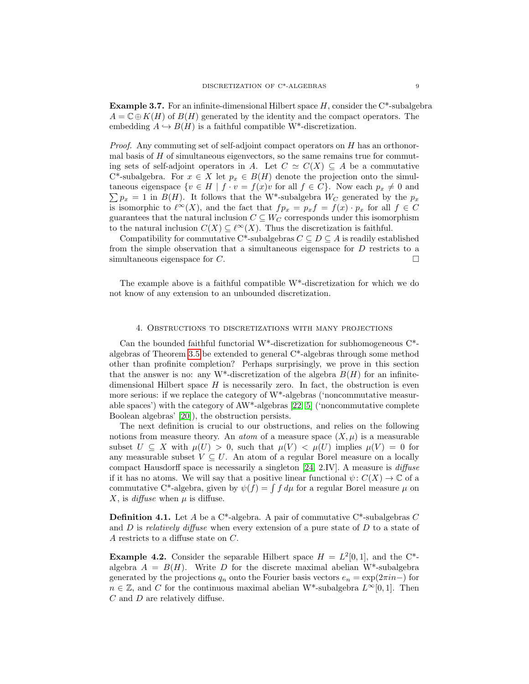**Example 3.7.** For an infinite-dimensional Hilbert space  $H$ , consider the  $C^*$ -subalgebra  $A = \mathbb{C} \oplus K(H)$  of  $B(H)$  generated by the identity and the compact operators. The embedding  $A \hookrightarrow B(H)$  is a faithful compatible W<sup>\*</sup>-discretization.

*Proof.* Any commuting set of self-adjoint compact operators on  $H$  has an orthonormal basis of  $H$  of simultaneous eigenvectors, so the same remains true for commuting sets of self-adjoint operators in A. Let  $C \simeq C(X) \subseteq A$  be a commutative C\*-subalgebra. For  $x \in X$  let  $p_x \in B(H)$  denote the projection onto the simul- $\sum p_x = 1$  in  $B(H)$ . It follows that the W<sup>\*</sup>-subalgebra  $W_C$  generated by the  $p_x$ taneous eigenspace  $\{v \in H \mid f \cdot v = f(x)v \text{ for all } f \in C\}$ . Now each  $p_x \neq 0$  and is isomorphic to  $\ell^{\infty}(X)$ , and the fact that  $fp_x = p_x f = f(x) \cdot p_x$  for all  $f \in C$ guarantees that the natural inclusion  $C \subseteq W_C$  corresponds under this isomorphism to the natural inclusion  $C(X) \subseteq \ell^{\infty}(X)$ . Thus the discretization is faithful.

Compatibility for commutative C\*-subalgebras  $C \subseteq D \subseteq A$  is readily established from the simple observation that a simultaneous eigenspace for D restricts to a simultaneous eigenspace for  $C$ .

The example above is a faithful compatible W\*-discretization for which we do not know of any extension to an unbounded discretization.

## 4. Obstructions to discretizations with many projections

<span id="page-8-0"></span>Can the bounded faithful functorial W<sup>\*</sup>-discretization for subhomogeneous  $C^*$ algebras of Theorem [3.5](#page-7-0) be extended to general C\*-algebras through some method other than profinite completion? Perhaps surprisingly, we prove in this section that the answer is no: any W<sup>\*</sup>-discretization of the algebra  $B(H)$  for an infinitedimensional Hilbert space  $H$  is necessarily zero. In fact, the obstruction is even more serious: if we replace the category of W\*-algebras ('noncommutative measurable spaces') with the category of AW\*-algebras [\[22,](#page-14-19) [5\]](#page-14-20) ('noncommutative complete Boolean algebras' [\[20\]](#page-14-6)), the obstruction persists.

The next definition is crucial to our obstructions, and relies on the following notions from measure theory. An *atom* of a measure space  $(X, \mu)$  is a measurable subset  $U \subseteq X$  with  $\mu(U) > 0$ , such that  $\mu(V) < \mu(U)$  implies  $\mu(V) = 0$  for any measurable subset  $V \subseteq U$ . An atom of a regular Borel measure on a locally compact Hausdorff space is necessarily a singleton [\[24,](#page-14-21) 2.IV]. A measure is  $diffuse$ if it has no atoms. We will say that a positive linear functional  $\psi: C(X) \to \mathbb{C}$  of a commutative C<sup>\*</sup>-algebra, given by  $\psi(f) = \int f d\mu$  for a regular Borel measure  $\mu$  on X, is *diffuse* when  $\mu$  is diffuse.

<span id="page-8-2"></span>**Definition 4.1.** Let A be a C<sup>\*</sup>-algebra. A pair of commutative C<sup>\*</sup>-subalgebras C and  $D$  is relatively diffuse when every extension of a pure state of  $D$  to a state of A restricts to a diffuse state on C.

<span id="page-8-1"></span>**Example 4.2.** Consider the separable Hilbert space  $H = L^2[0,1]$ , and the C<sup>\*</sup>algebra  $A = B(H)$ . Write D for the discrete maximal abelian W<sup>\*</sup>-subalgebra generated by the projections  $q_n$  onto the Fourier basis vectors  $e_n = \exp(2\pi i n-)$  for  $n \in \mathbb{Z}$ , and C for the continuous maximal abelian W<sup>\*</sup>-subalgebra  $L^{\infty}[0,1]$ . Then  $C$  and  $D$  are relatively diffuse.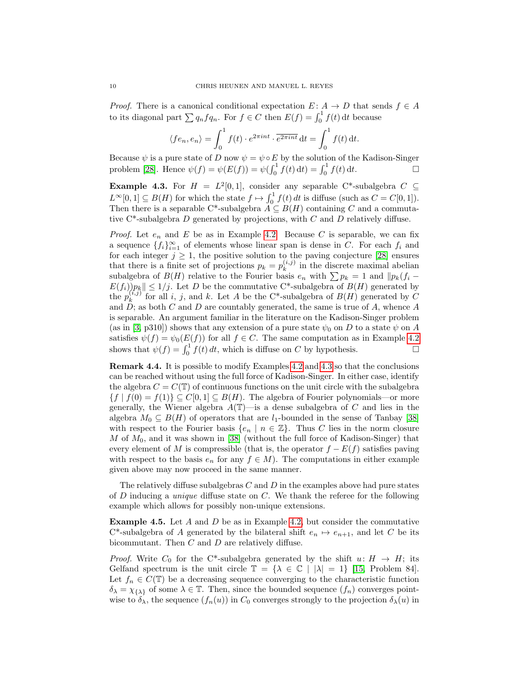*Proof.* There is a canonical conditional expectation  $E: A \rightarrow D$  that sends  $f \in A$ to its diagonal part  $\sum q_n f q_n$ . For  $f \in C$  then  $E(f) = \int_0^1 f(t) dt$  because

$$
\langle fe_n, e_n \rangle = \int_0^1 f(t) \cdot e^{2\pi int} \cdot \overline{e^{2\pi int}} dt = \int_0^1 f(t) dt.
$$

Because  $\psi$  is a pure state of D now  $\psi = \psi \circ E$  by the solution of the Kadison-Singer problem [\[28\]](#page-15-8). Hence  $\psi(f) = \psi(E(f)) = \psi(\int_0^1 f(t) dt) = \int_0^1 f(t) dt$ .

<span id="page-9-0"></span>**Example 4.3.** For  $H = L^2[0,1]$ , consider any separable C\*-subalgebra  $C \subseteq$  $L^{\infty}[0,1] \subseteq B(H)$  for which the state  $f \mapsto \int_0^1 f(t) dt$  is diffuse (such as  $C = C[0,1]$ ). Then there is a separable C\*-subalgebra  $A \subseteq B(H)$  containing C and a commutative  $C^*$ -subalgebra D generated by projections, with C and D relatively diffuse.

*Proof.* Let  $e_n$  and E be as in Example [4.2.](#page-8-1) Because C is separable, we can fix a sequence  $\{f_i\}_{i=1}^{\infty}$  of elements whose linear span is dense in C. For each  $f_i$  and for each integer  $j \geq 1$ , the positive solution to the paving conjecture [\[28\]](#page-15-8) ensures that there is a finite set of projections  $p_k = p_k^{(i,j)}$  $\binom{n,j}{k}$  in the discrete maximal abelian subalgebra of  $B(H)$  relative to the Fourier basis  $e_n$  with  $\sum p_k = 1$  and  $||p_k(f_i E(f_i)p_k|| \leq 1/j$ . Let D be the commutative C\*-subalgebra of  $B(H)$  generated by the  $p_k^{(i,j)}$  $\binom{(i,j)}{k}$  for all i, j, and k. Let A be the C\*-subalgebra of  $B(H)$  generated by C and  $D$ ; as both C and D are countably generated, the same is true of A, whence A is separable. An argument familiar in the literature on the Kadison-Singer problem (as in [\[3,](#page-14-22) p310]) shows that any extension of a pure state  $\psi_0$  on D to a state  $\psi$  on A satisfies  $\psi(f) = \psi_0(E(f))$  for all  $f \in C$ . The same computation as in Example [4.2](#page-8-1) shows that  $\psi(f) = \int_0^1 f(t) dt$ , which is diffuse on C by hypothesis.

Remark 4.4. It is possible to modify Examples [4.2](#page-8-1) and [4.3](#page-9-0) so that the conclusions can be reached without using the full force of Kadison-Singer. In either case, identify the algebra  $C = C(\mathbb{T})$  of continuous functions on the unit circle with the subalgebra  ${f | f(0) = f(1)} \subseteq C[0,1] \subseteq B(H)$ . The algebra of Fourier polynomials—or more generally, the Wiener algebra  $A(\mathbb{T})$ —is a dense subalgebra of C and lies in the algebra  $M_0 \subseteq B(H)$  of operators that are  $l_1$ -bounded in the sense of Tanbay [\[38\]](#page-15-9) with respect to the Fourier basis  $\{e_n \mid n \in \mathbb{Z}\}$ . Thus C lies in the norm closure M of  $M_0$ , and it was shown in [\[38\]](#page-15-9) (without the full force of Kadison-Singer) that every element of M is compressible (that is, the operator  $f - E(f)$  satisfies paving with respect to the basis  $e_n$  for any  $f \in M$ ). The computations in either example given above may now proceed in the same manner.

The relatively diffuse subalgebras  $C$  and  $D$  in the examples above had pure states of  $D$  inducing a *unique* diffuse state on  $C$ . We thank the referee for the following example which allows for possibly non-unique extensions.

<span id="page-9-1"></span>**Example 4.5.** Let A and D be as in Example [4.2,](#page-8-1) but consider the commutative C<sup>\*</sup>-subalgebra of A generated by the bilateral shift  $e_n \mapsto e_{n+1}$ , and let C be its bicommutant. Then C and D are relatively diffuse.

*Proof.* Write  $C_0$  for the C<sup>\*</sup>-subalgebra generated by the shift  $u: H \to H$ ; its Gelfand spectrum is the unit circle  $\mathbb{T} = {\lambda \in \mathbb{C} \mid |\lambda| = 1}$  [\[15,](#page-14-23) Problem 84]. Let  $f_n \in C(\mathbb{T})$  be a decreasing sequence converging to the characteristic function  $\delta_{\lambda} = \chi_{\{\lambda\}}$  of some  $\lambda \in \mathbb{T}$ . Then, since the bounded sequence  $(f_n)$  converges pointwise to  $\delta_{\lambda}$ , the sequence  $(f_n(u))$  in  $C_0$  converges strongly to the projection  $\delta_{\lambda}(u)$  in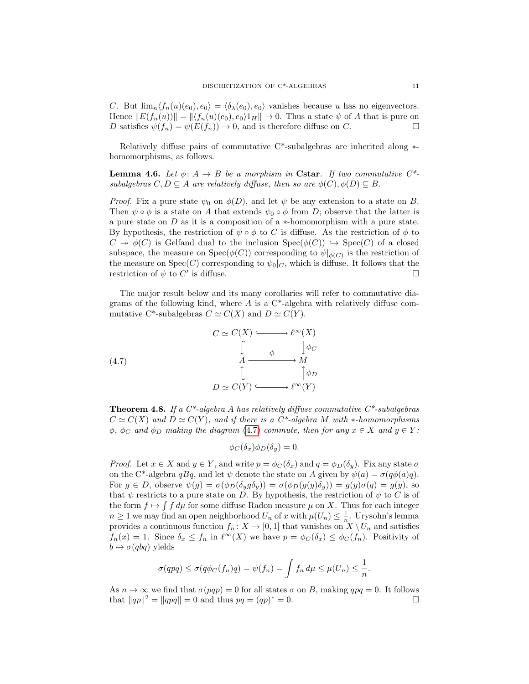C. But  $\lim_{n} \langle f_n(u)(e_0), e_0 \rangle = \langle \delta_{\lambda}(e_0), e_0 \rangle$  vanishes because u has no eigenvectors. Hence  $||E(f_n(u))|| = ||\langle f_n(u)(e_0), e_0 \rangle 1_H|| \to 0$ . Thus a state  $\psi$  of A that is pure on D satisfies  $\psi(f_n) = \psi(E(f_n)) \to 0$ , and is therefore diffuse on C.

Relatively diffuse pairs of commutative C\*-subalgebras are inherited along ∗ homomorphisms, as follows.

<span id="page-10-2"></span>**Lemma 4.6.** Let  $\phi: A \to B$  be a morphism in Cstar. If two commutative  $C^*$ subalgebras  $C, D \subseteq A$  are relatively diffuse, then so are  $\phi(C), \phi(D) \subseteq B$ .

*Proof.* Fix a pure state  $\psi_0$  on  $\phi(D)$ , and let  $\psi$  be any extension to a state on B. Then  $\psi \circ \phi$  is a state on A that extends  $\psi_0 \circ \phi$  from D; observe that the latter is a pure state on D as it is a composition of a ∗-homomorphism with a pure state. By hypothesis, the restriction of  $\psi \circ \phi$  to C is diffuse. As the restriction of  $\phi$  to  $C \twoheadrightarrow \phi(C)$  is Gelfand dual to the inclusion  $Spec(\phi(C)) \hookrightarrow Spec(C)$  of a closed subspace, the measure on  $Spec(\phi(C))$  corresponding to  $\psi|_{\phi(C)}$  is the restriction of the measure on  $Spec(C)$  corresponding to  $\psi_0|_C$ , which is diffuse. It follows that the restriction of  $\psi$  to  $C'$  is diffuse.

The major result below and its many corollaries will refer to commutative diagrams of the following kind, where  $A$  is a  $C^*$ -algebra with relatively diffuse commutative C\*-subalgebras  $C \simeq C(X)$  and  $D \simeq C(Y)$ .

(4.7) 
$$
C \simeq C(X) \xrightarrow{\qquad \qquad \downarrow \infty} \ell^{\infty}(X)
$$

$$
\downarrow \qquad \qquad \downarrow \qquad \downarrow \rho_C
$$

$$
A \xrightarrow{\qquad \qquad \downarrow \qquad \qquad \downarrow \rho_D}
$$

$$
D \simeq C(Y) \xrightarrow{\qquad \qquad \downarrow \infty} \ell^{\infty}(Y)
$$

<span id="page-10-1"></span>**Theorem 4.8.** If a  $C^*$ -algebra A has relatively diffuse commutative  $C^*$ -subalgebras  $C \simeq C(X)$  and  $D \simeq C(Y)$ , and if there is a  $C^*$ -algebra M with  $*$ -homomorphisms  $\phi$ ,  $\phi_C$  and  $\phi_D$  making the diagram [\(4.7\)](#page-10-0) commute, then for any  $x \in X$  and  $y \in Y$ :

<span id="page-10-0"></span> $\phi_C(\delta_x)\phi_D(\delta_y)=0.$ 

*Proof.* Let  $x \in X$  and  $y \in Y$ , and write  $p = \phi_C(\delta_x)$  and  $q = \phi_D(\delta_y)$ . Fix any state  $\sigma$ on the C\*-algebra qBq, and let  $\psi$  denote the state on A given by  $\psi(a) = \sigma(q\phi(a)q)$ . For  $g \in D$ , observe  $\psi(g) = \sigma(\phi_D(\delta_y g \delta_y)) = \sigma(\phi_D(g(y)\delta_y)) = g(y)\sigma(q) = g(y)$ , so that  $\psi$  restricts to a pure state on D. By hypothesis, the restriction of  $\psi$  to C is of the form  $f \mapsto \int f d\mu$  for some diffuse Radon measure  $\mu$  on X. Thus for each integer  $n \geq 1$  we may find an open neighborhood  $U_n$  of x with  $\mu(U_n) \leq \frac{1}{n}$ . Urysohn's lemma provides a continuous function  $f_n: X \to [0,1]$  that vanishes on  $X \setminus U_n$  and satisfies  $f_n(x) = 1$ . Since  $\delta_x \le f_n$  in  $\ell^{\infty}(X)$  we have  $p = \phi_C(\delta_x) \le \phi_C(f_n)$ . Positivity of  $b \mapsto \sigma(qbq)$  yields

$$
\sigma(qpq) \leq \sigma(q\phi_C(f_n)q) = \psi(f_n) = \int f_n d\mu \leq \mu(U_n) \leq \frac{1}{n}.
$$

As  $n \to \infty$  we find that  $\sigma(pqp) = 0$  for all states  $\sigma$  on B, making  $qpq = 0$ . It follows that  $||qp||^2 = ||qpq|| = 0$  and thus  $pq = (qp)^* = 0$ .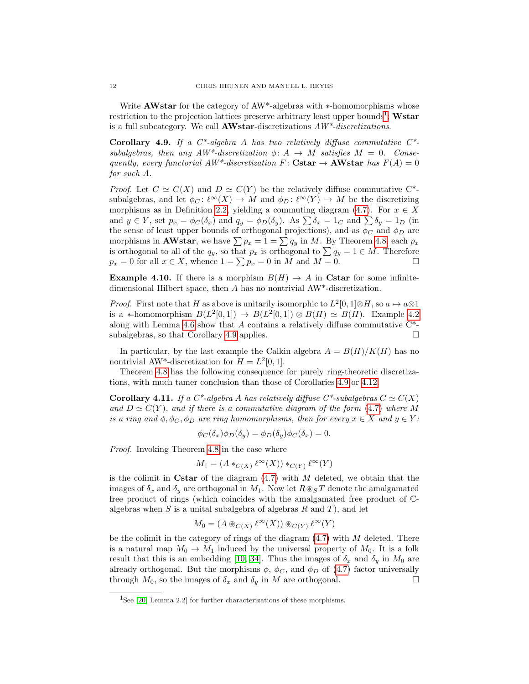Write **AWstar** for the category of AW<sup>\*</sup>-algebras with ∗-homomorphisms whose restriction to the projection lattices preserve arbitrary least upper bounds<sup>[1](#page-11-0)</sup>; Wstar is a full subcategory. We call  $\mathbf{AWstar}$ -discretizations  $AW^*$ -discretizations.

<span id="page-11-1"></span>Corollary 4.9. If a  $C^*$ -algebra A has two relatively diffuse commutative  $C^*$ subalgebras, then any  $AW^*$ -discretization  $\phi: A \rightarrow M$  satisfies  $M = 0$ . Consequently, every functorial  $AW^*$ -discretization F : Cstar  $\rightarrow$  AWstar has  $F(A) = 0$ for such A.

*Proof.* Let  $C \simeq C(X)$  and  $D \simeq C(Y)$  be the relatively diffuse commutative C<sup>\*</sup>subalgebras, and let  $\phi_C : \ell^{\infty}(X) \to M$  and  $\phi_D : \ell^{\infty}(Y) \to M$  be the discretizing morphisms as in Definition [2.2,](#page-2-0) yielding a commuting diagram [\(4.7\)](#page-10-0). For  $x \in X$ and  $y \in Y$ , set  $p_x = \phi_C(\delta_x)$  and  $q_y = \phi_D(\delta_y)$ . As  $\sum \delta_x = 1_C$  and  $\sum \delta_y = 1_D$  (in the sense of least upper bounds of orthogonal projections), and as  $\phi_C$  and  $\phi_D$  are morphisms in **AWstar**, we have  $\sum p_x = 1 = \sum q_y$  in M. By Theorem [4.8,](#page-10-1) each  $p_x$ is orthogonal to all of the  $q_y$ , so that  $p_x$  is orthogonal to  $\sum q_y = 1 \in M$ . Therefore  $p_x = 0$  for all  $x \in X$ , whence  $1 = \sum p_x = 0$  in M and  $M = 0$ .

<span id="page-11-3"></span>**Example 4.10.** If there is a morphism  $B(H) \rightarrow A$  in Cstar for some infinitedimensional Hilbert space, then A has no nontrivial AW\*-discretization.

*Proof.* First note that H as above is unitarily isomorphic to  $L^2[0,1] \otimes H$ , so  $a \mapsto a \otimes 1$ is a \*-homomorphism  $B(L^2[0,1]) \to B(L^2[0,1]) \otimes B(H) \simeq B(H)$ . Example [4.2](#page-8-1) along with Lemma [4.6](#page-10-2) show that A contains a relatively diffuse commutative  $C^*$ -subalgebras, so that Corollary [4.9](#page-11-1) applies.

In particular, by the last example the Calkin algebra  $A = B(H)/K(H)$  has no nontrivial AW<sup>\*</sup>-discretization for  $H = L^2[0, 1]$ .

Theorem [4.8](#page-10-1) has the following consequence for purely ring-theoretic discretizations, with much tamer conclusion than those of Corollaries [4.9](#page-11-1) or [4.12.](#page-12-0)

<span id="page-11-2"></span>**Corollary 4.11.** If a C\*-algebra A has relatively diffuse C\*-subalgebras  $C \simeq C(X)$ and  $D \simeq C(Y)$ , and if there is a commutative diagram of the form [\(4.7\)](#page-10-0) where M is a ring and  $\phi$ ,  $\phi_C$ ,  $\phi_D$  are ring homomorphisms, then for every  $x \in X$  and  $y \in Y$ :

$$
\phi_C(\delta_x)\phi_D(\delta_y) = \phi_D(\delta_y)\phi_C(\delta_x) = 0.
$$

Proof. Invoking Theorem [4.8](#page-10-1) in the case where

$$
M_1 = (A *_{C(X)} \ell^{\infty}(X)) *_{C(Y)} \ell^{\infty}(Y)
$$

is the colimit in Cstar of the diagram  $(4.7)$  with M deleted, we obtain that the images of  $\delta_x$  and  $\delta_y$  are orthogonal in  $M_1$ . Now let  $R \otimes_S T$  denote the amalgamated free product of rings (which coincides with the amalgamated free product of Calgebras when  $S$  is a unital subalgebra of algebras  $R$  and  $T$ ), and let

$$
M_0 = (A \otimes_{C(X)} \ell^{\infty}(X)) \otimes_{C(Y)} \ell^{\infty}(Y)
$$

be the colimit in the category of rings of the diagram  $(4.7)$  with M deleted. There is a natural map  $M_0 \to M_1$  induced by the universal property of  $M_0$ . It is a folk result that this is an embedding [\[10,](#page-14-24) [34\]](#page-15-10). Thus the images of  $\delta_x$  and  $\delta_y$  in  $M_0$  are already orthogonal. But the morphisms  $\phi$ ,  $\phi_C$ , and  $\phi_D$  of [\(4.7\)](#page-10-0) factor universally through  $M_0$ , so the images of  $\delta_x$  and  $\delta_y$  in M are orthogonal.

<span id="page-11-0"></span><sup>&</sup>lt;sup>1</sup>See [\[20,](#page-14-6) Lemma 2.2] for further characterizations of these morphisms.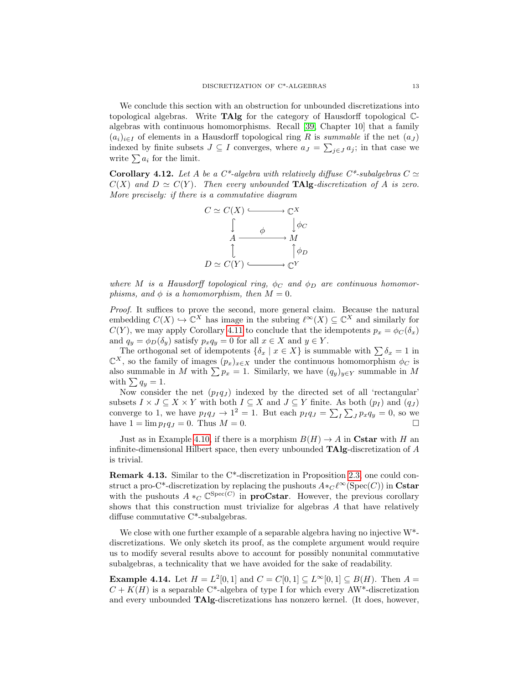We conclude this section with an obstruction for unbounded discretizations into topological algebras. Write TAlg for the category of Hausdorff topological Calgebras with continuous homomorphisms. Recall [\[39,](#page-15-11) Chapter 10] that a family  $(a_i)_{i\in I}$  of elements in a Hausdorff topological ring R is summable if the net  $(a_J)$ indexed by finite subsets  $J \subseteq I$  converges, where  $a_J = \sum_{j \in J} a_j$ ; in that case we write  $\sum a_i$  for the limit.

<span id="page-12-0"></span>**Corollary 4.12.** Let A be a  $C^*$ -algebra with relatively diffuse  $C^*$ -subalgebras  $C \simeq$  $C(X)$  and  $D \simeq C(Y)$ . Then every unbounded **TAlg**-discretization of A is zero. More precisely: if there is a commutative diagram



where M is a Hausdorff topological ring,  $\phi_C$  and  $\phi_D$  are continuous homomorphisms, and  $\phi$  is a homomorphism, then  $M = 0$ .

Proof. It suffices to prove the second, more general claim. Because the natural embedding  $C(X) \hookrightarrow \mathbb{C}^X$  has image in the subring  $\ell^{\infty}(X) \subseteq \mathbb{C}^X$  and similarly for  $C(Y)$ , we may apply Corollary [4.11](#page-11-2) to conclude that the idempotents  $p_x = \phi_C(\delta_x)$ and  $q_y = \phi_D(\delta_y)$  satisfy  $p_x q_y = 0$  for all  $x \in X$  and  $y \in Y$ .

The orthogonal set of idempotents  $\{\delta_x \mid x \in X\}$  is summable with  $\sum \delta_x = 1$  in  $\mathbb{C}^X$ , so the family of images  $(p_x)_{x\in X}$  under the continuous homomorphism  $\phi_C$  is also summable in M with  $\sum p_x = 1$ . Similarly, we have  $(q_y)_{y \in Y}$  summable in M with  $\sum q_y = 1$ .

Now consider the net  $(p_I q_J)$  indexed by the directed set of all 'rectangular' subsets  $I \times J \subseteq X \times Y$  with both  $I \subseteq X$  and  $J \subseteq Y$  finite. As both  $(p_I)$  and  $(q_J)$ converge to 1, we have  $p_I q_J \to 1^2 = 1$ . But each  $p_I q_J = \sum_I \sum_J p_x q_y = 0$ , so we have  $1 = \lim p_I q_J = 0$ . Thus  $M = 0$ .

Just as in Example [4.10,](#page-11-3) if there is a morphism  $B(H) \to A$  in Cstar with H an infinite-dimensional Hilbert space, then every unbounded  $\textbf{TAlg}$ -discretization of A is trivial.

Remark 4.13. Similar to the C\*-discretization in Proposition [2.3,](#page-2-1) one could construct a pro-C\*-discretization by replacing the pushouts  $A *_{C} \ell^{\infty}(\mathrm{Spec}(C))$  in Cstar with the pushouts  $A *_{C} \mathbb{C}^{\text{Spec}(C)}$  in **proCstar**. However, the previous corollary shows that this construction must trivialize for algebras A that have relatively diffuse commutative C\*-subalgebras.

We close with one further example of a separable algebra having no injective  $W^*$ discretizations. We only sketch its proof, as the complete argument would require us to modify several results above to account for possibly nonunital commutative subalgebras, a technicality that we have avoided for the sake of readability.

**Example 4.14.** Let  $H = L^2[0,1]$  and  $C = C[0,1] \subseteq L^{\infty}[0,1] \subseteq B(H)$ . Then  $A =$  $C + K(H)$  is a separable C<sup>\*</sup>-algebra of type I for which every AW<sup>\*</sup>-discretization and every unbounded TAlg-discretizations has nonzero kernel. (It does, however,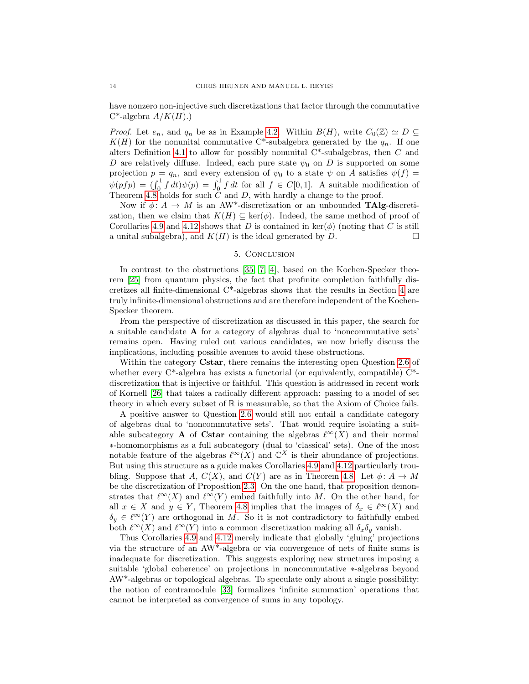have nonzero non-injective such discretizations that factor through the commutative  $C^*$ -algebra  $A/K(H)$ .)

*Proof.* Let  $e_n$ , and  $q_n$  be as in Example [4.2.](#page-8-1) Within  $B(H)$ , write  $C_0(\mathbb{Z}) \simeq D \subseteq$  $K(H)$  for the nonunital commutative C\*-subalgebra generated by the  $q_n$ . If one alters Definition [4.1](#page-8-2) to allow for possibly nonunital  $C^*$ -subalgebras, then  $C$  and D are relatively diffuse. Indeed, each pure state  $\psi_0$  on D is supported on some projection  $p = q_n$ , and every extension of  $\psi_0$  to a state  $\psi$  on A satisfies  $\psi(f)$  =  $\psi(pfp) = \int_0^1 f dt \psi(p) = \int_0^1 f dt$  for all  $f \in C[0,1]$ . A suitable modification of Theorem [4.8](#page-10-1) holds for such  $C$  and  $D$ , with hardly a change to the proof.

Now if  $\phi: A \to M$  is an AW<sup>\*</sup>-discretization or an unbounded **TAlg**-discretization, then we claim that  $K(H) \subseteq \text{ker}(\phi)$ . Indeed, the same method of proof of Corollaries [4.9](#page-11-1) and [4.12](#page-12-0) shows that D is contained in  $\text{ker}(\phi)$  (noting that C is still a unital subalgebra), and  $K(H)$  is the ideal generated by D.

## 5. Conclusion

<span id="page-13-0"></span>In contrast to the obstructions [\[35,](#page-15-0) [7,](#page-14-0) [4\]](#page-14-1), based on the Kochen-Specker theorem [\[25\]](#page-14-25) from quantum physics, the fact that profinite completion faithfully discretizes all finite-dimensional C\*-algebras shows that the results in Section [4](#page-8-0) are truly infinite-dimensional obstructions and are therefore independent of the Kochen-Specker theorem.

From the perspective of discretization as discussed in this paper, the search for a suitable candidate A for a category of algebras dual to 'noncommutative sets' remains open. Having ruled out various candidates, we now briefly discuss the implications, including possible avenues to avoid these obstructions.

Within the category Cstar, there remains the interesting open Question [2.6](#page-4-0) of whether every  $C^*$ -algebra has exists a functorial (or equivalently, compatible)  $C^*$ discretization that is injective or faithful. This question is addressed in recent work of Kornell [\[26\]](#page-14-26) that takes a radically different approach: passing to a model of set theory in which every subset of R is measurable, so that the Axiom of Choice fails.

A positive answer to Question [2.6](#page-4-0) would still not entail a candidate category of algebras dual to 'noncommutative sets'. That would require isolating a suitable subcategory **A** of Cstar containing the algebras  $\ell^{\infty}(X)$  and their normal ∗-homomorphisms as a full subcategory (dual to 'classical' sets). One of the most notable feature of the algebras  $\ell^{\infty}(X)$  and  $\mathbb{C}^{X}$  is their abundance of projections. But using this structure as a guide makes Corollaries [4.9](#page-11-1) and [4.12](#page-12-0) particularly troubling. Suppose that A,  $C(X)$ , and  $C(Y)$  are as in Theorem [4.8.](#page-10-1) Let  $\phi: A \to M$ be the discretization of Proposition [2.3.](#page-2-1) On the one hand, that proposition demonstrates that  $\ell^{\infty}(X)$  and  $\ell^{\infty}(Y)$  embed faithfully into M. On the other hand, for all  $x \in X$  and  $y \in Y$ , Theorem [4.8](#page-10-1) implies that the images of  $\delta_x \in \ell^{\infty}(X)$  and  $\delta_y \in \ell^{\infty}(Y)$  are orthogonal in M. So it is not contradictory to faithfully embed both  $\ell^{\infty}(X)$  and  $\ell^{\infty}(Y)$  into a common discretization making all  $\delta_x \delta_y$  vanish.

Thus Corollaries [4.9](#page-11-1) and [4.12](#page-12-0) merely indicate that globally 'gluing' projections via the structure of an AW\*-algebra or via convergence of nets of finite sums is inadequate for discretization. This suggests exploring new structures imposing a suitable 'global coherence' on projections in noncommutative ∗-algebras beyond AW\*-algebras or topological algebras. To speculate only about a single possibility: the notion of contramodule [\[33\]](#page-15-12) formalizes 'infinite summation' operations that cannot be interpreted as convergence of sums in any topology.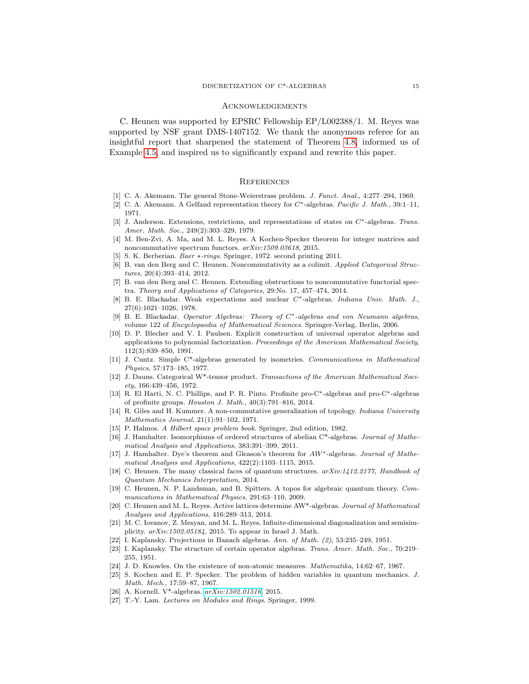#### Acknowledgements

C. Heunen was supported by EPSRC Fellowship EP/L002388/1. M. Reyes was supported by NSF grant DMS-1407152. We thank the anonymous referee for an insightful report that sharpened the statement of Theorem [4.8,](#page-10-1) informed us of Example [4.5,](#page-9-1) and inspired us to significantly expand and rewrite this paper.

#### **REFERENCES**

- <span id="page-14-8"></span>[1] C. A. Akemann. The general Stone-Weierstrass problem. *J. Funct. Anal.*, 4:277-294, 1969.
- <span id="page-14-10"></span>[2] C. A. Akemann. A Gelfand representation theory for C∗-algebras. Pacific J. Math., 39:1–11, 1971.
- <span id="page-14-22"></span>[3] J. Anderson. Extensions, restrictions, and representations of states on C∗-algebras. Trans. Amer. Math. Soc., 249(2):303–329, 1979.
- <span id="page-14-1"></span>[4] M. Ben-Zvi, A. Ma, and M. L. Reyes. A Kochen-Specker theorem for integer matrices and noncommutative spectrum functors. arXiv:1509.03618, 2015.
- <span id="page-14-20"></span>[5] S. K. Berberian. Baer ∗-rings. Springer, 1972. second printing 2011.
- <span id="page-14-3"></span>[6] B. van den Berg and C. Heunen. Noncommutativity as a colimit. Applied Categorical Structures, 20(4):393–414, 2012.
- <span id="page-14-0"></span>[7] B. van den Berg and C. Heunen. Extending obstructions to noncommutative functorial spectra. Theory and Applications of Categories, 29:No. 17, 457–474, 2014.
- <span id="page-14-12"></span>[8] B. E. Blackadar. Weak expectations and nuclear C∗-algebras. Indiana Univ. Math. J., 27(6):1021–1026, 1978.
- <span id="page-14-17"></span>[9] B. E. Blackadar. Operator Algebras: Theory of C∗-algebras and von Neumann algebras, volume 122 of Encyclopaedia of Mathematical Sciences. Springer-Verlag, Berlin, 2006.
- <span id="page-14-24"></span>[10] D. P. Blecher and V. I. Paulsen. Explicit construction of universal operator algebras and applications to polynomial factorization. Proceedings of the American Mathematical Society, 112(3):839–850, 1991.
- <span id="page-14-16"></span>[11] J. Cuntz. Simple C\*-algebras generated by isometries. Communications in Mathematical Physics, 57:173–185, 1977.
- <span id="page-14-13"></span>[12] J. Dauns. Categorical W\*-tensor product. Transactions of the American Mathematical Society, 166:439–456, 1972.
- <span id="page-14-14"></span>[13] R. El Harti, N. C. Phillips, and P. R. Pinto. Profinite pro-C∗-algebras and pro-C∗-algebras of profinite groups. Houston J. Math., 40(3):791–816, 2014.
- <span id="page-14-9"></span>[14] R. Giles and H. Kummer. A non-commutative generalization of topology. Indiana University Mathematics Journal, 21(1):91–102, 1971.
- <span id="page-14-23"></span>[15] P. Halmos. A Hilbert space problem book. Springer, 2nd edition, 1982.
- <span id="page-14-5"></span>[16] J. Hamhalter. Isomorphisms of ordered structures of abelian C\*-algebras. Journal of Mathematical Analysis and Applications, 383:391–399, 2011.
- <span id="page-14-7"></span>[17] J. Hamhalter. Dye's theorem and Gleason's theorem for  $AW^*$ -algebras. Journal of Mathematical Analysis and Applications, 422(2):1103–1115, 2015.
- <span id="page-14-2"></span>[18] C. Heunen. The many classical faces of quantum structures.  $arXiv:1412.2177$ , Handbook of Quantum Mechanics Interpretation, 2014.
- <span id="page-14-4"></span>[19] C. Heunen, N. P. Landsman, and B. Spitters. A topos for algebraic quantum theory. Communications in Mathematical Physics, 291:63–110, 2009.
- <span id="page-14-6"></span>[20] C. Heunen and M. L. Reyes. Active lattices determine AW\*-algebras. Journal of Mathematical Analysis and Applications, 416:289–313, 2014.
- <span id="page-14-11"></span>[21] M. C. Iovanov, Z. Mesyan, and M. L. Reyes. Infinite-dimensional diagonalization and semisimplicity. arXiv:1502.05184, 2015. To appear in Israel J. Math.
- <span id="page-14-19"></span>[22] I. Kaplansky. Projections in Banach algebras. Ann. of Math. (2), 53:235–249, 1951.
- <span id="page-14-18"></span>[23] I. Kaplansky. The structure of certain operator algebras. Trans. Amer. Math. Soc., 70:219– 255, 1951.
- <span id="page-14-21"></span>[24] J. D. Knowles. On the existence of non-atomic measures. Mathematika, 14:62–67, 1967.
- <span id="page-14-25"></span>[25] S. Kochen and E. P. Specker. The problem of hidden variables in quantum mechanics. J. Math. Mech., 17:59–87, 1967.
- <span id="page-14-26"></span>[26] A. Kornell. V\*-algebras. [arXiv:1502.01516](http://arxiv.org/abs/1502.01516), 2015.
- <span id="page-14-15"></span>[27] T.-Y. Lam. Lectures on Modules and Rings. Springer, 1999.